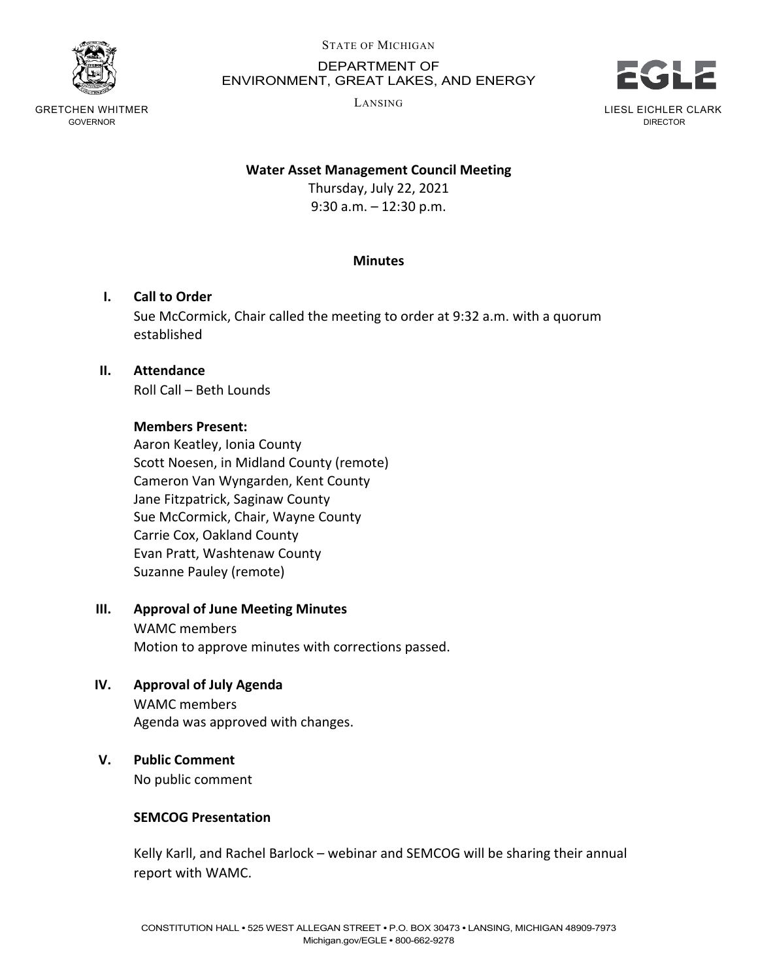

GRETCHEN WHITMER GOVERNOR

#### STATE OF MICHIGAN

### DEPARTMENT OF ENVIRONMENT, GREAT LAKES, AND ENERGY

LANSING



LIESL EICHLER CLARK DIRECTOR

#### **Water Asset Management Council Meeting**

Thursday, July 22, 2021 9:30 a.m. – 12:30 p.m.

#### **Minutes**

#### **I. Call to Order**

Sue McCormick, Chair called the meeting to order at 9:32 a.m. with a quorum established

## **II. Attendance**

Roll Call – Beth Lounds

### **Members Present:**

Aaron Keatley, Ionia County Scott Noesen, in Midland County (remote) Cameron Van Wyngarden, Kent County Jane Fitzpatrick, Saginaw County Sue McCormick, Chair, Wayne County Carrie Cox, Oakland County Evan Pratt, Washtenaw County Suzanne Pauley (remote)

### **III. Approval of June Meeting Minutes**

WAMC members Motion to approve minutes with corrections passed.

### **IV. Approval of July Agenda**

WAMC members Agenda was approved with changes.

### **V. Public Comment**

No public comment

#### **SEMCOG Presentation**

Kelly Karll, and Rachel Barlock – webinar and SEMCOG will be sharing their annual report with WAMC.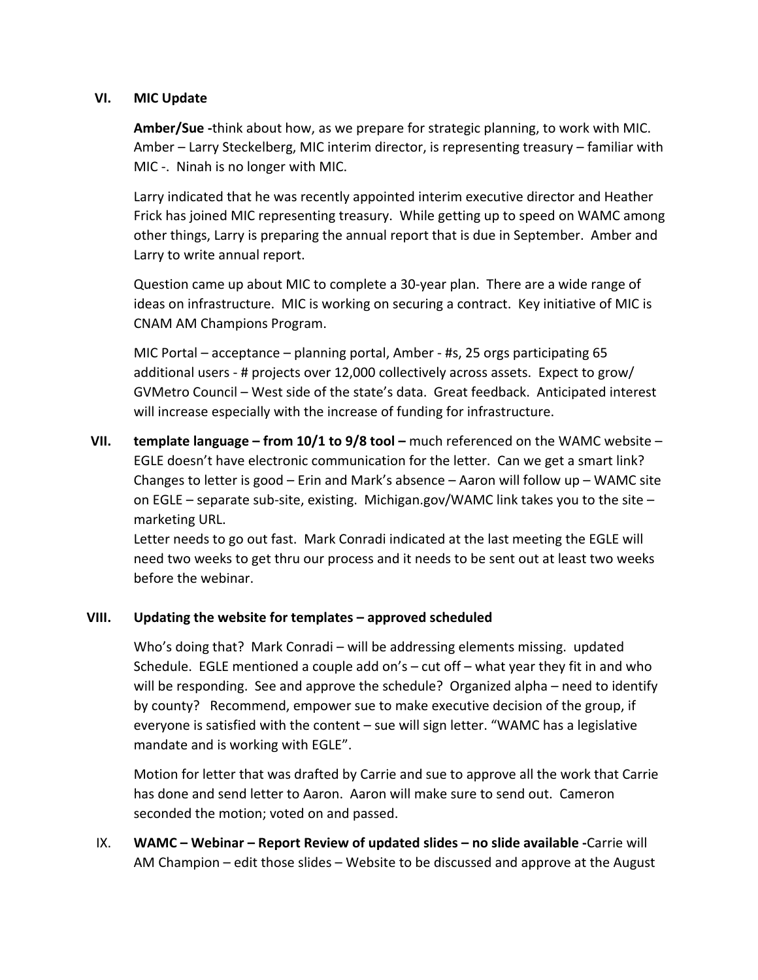### **VI. MIC Update**

**Amber/Sue -**think about how, as we prepare for strategic planning, to work with MIC. Amber – Larry Steckelberg, MIC interim director, is representing treasury – familiar with MIC -. Ninah is no longer with MIC.

Larry indicated that he was recently appointed interim executive director and Heather Frick has joined MIC representing treasury. While getting up to speed on WAMC among other things, Larry is preparing the annual report that is due in September. Amber and Larry to write annual report.

Question came up about MIC to complete a 30-year plan. There are a wide range of ideas on infrastructure. MIC is working on securing a contract. Key initiative of MIC is CNAM AM Champions Program.

MIC Portal – acceptance – planning portal, Amber - #s, 25 orgs participating 65 additional users - # projects over 12,000 collectively across assets. Expect to grow/ GVMetro Council – West side of the state's data. Great feedback. Anticipated interest will increase especially with the increase of funding for infrastructure.

**VII. template language – from 10/1 to 9/8 tool –** much referenced on the WAMC website – EGLE doesn't have electronic communication for the letter. Can we get a smart link? Changes to letter is good – Erin and Mark's absence – Aaron will follow up – WAMC site on EGLE – separate sub-site, existing. Michigan.gov/WAMC link takes you to the site – marketing URL.

Letter needs to go out fast. Mark Conradi indicated at the last meeting the EGLE will need two weeks to get thru our process and it needs to be sent out at least two weeks before the webinar.

## **VIII. Updating the website for templates – approved scheduled**

Who's doing that? Mark Conradi – will be addressing elements missing. updated Schedule. EGLE mentioned a couple add on's  $-$  cut off  $-$  what year they fit in and who will be responding. See and approve the schedule? Organized alpha – need to identify by county? Recommend, empower sue to make executive decision of the group, if everyone is satisfied with the content – sue will sign letter. "WAMC has a legislative mandate and is working with EGLE".

Motion for letter that was drafted by Carrie and sue to approve all the work that Carrie has done and send letter to Aaron. Aaron will make sure to send out. Cameron seconded the motion; voted on and passed.

IX. **WAMC – Webinar – Report Review of updated slides – no slide available -**Carrie will AM Champion – edit those slides – Website to be discussed and approve at the August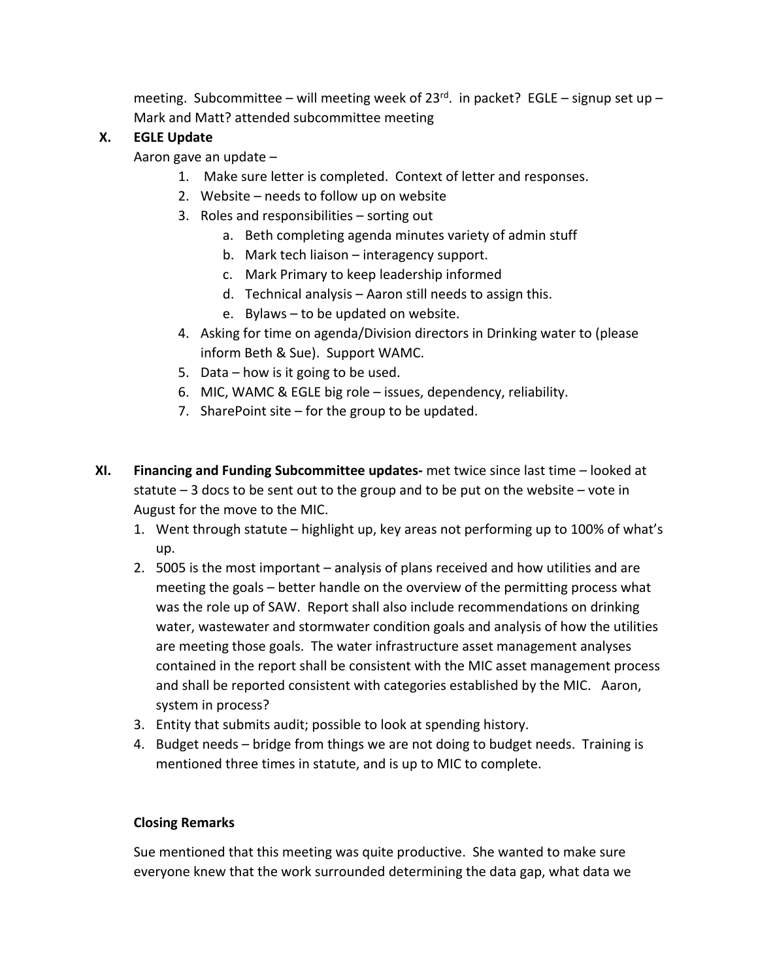meeting. Subcommittee – will meeting week of  $23^{rd}$ . in packet? EGLE – signup set up – Mark and Matt? attended subcommittee meeting

# **X. EGLE Update**

Aaron gave an update –

- 1. Make sure letter is completed. Context of letter and responses.
- 2. Website needs to follow up on website
- 3. Roles and responsibilities sorting out
	- a. Beth completing agenda minutes variety of admin stuff
	- b. Mark tech liaison interagency support.
	- c. Mark Primary to keep leadership informed
	- d. Technical analysis Aaron still needs to assign this.
	- e. Bylaws to be updated on website.
- 4. Asking for time on agenda/Division directors in Drinking water to (please inform Beth & Sue). Support WAMC.
- 5. Data how is it going to be used.
- 6. MIC, WAMC & EGLE big role issues, dependency, reliability.
- 7. SharePoint site for the group to be updated.
- **XI. Financing and Funding Subcommittee updates-** met twice since last time looked at statute  $-3$  docs to be sent out to the group and to be put on the website  $-$  vote in August for the move to the MIC.
	- 1. Went through statute highlight up, key areas not performing up to 100% of what's up.
	- 2. 5005 is the most important analysis of plans received and how utilities and are meeting the goals – better handle on the overview of the permitting process what was the role up of SAW. Report shall also include recommendations on drinking water, wastewater and stormwater condition goals and analysis of how the utilities are meeting those goals. The water infrastructure asset management analyses contained in the report shall be consistent with the MIC asset management process and shall be reported consistent with categories established by the MIC. Aaron, system in process?
	- 3. Entity that submits audit; possible to look at spending history.
	- 4. Budget needs bridge from things we are not doing to budget needs. Training is mentioned three times in statute, and is up to MIC to complete.

## **Closing Remarks**

Sue mentioned that this meeting was quite productive. She wanted to make sure everyone knew that the work surrounded determining the data gap, what data we